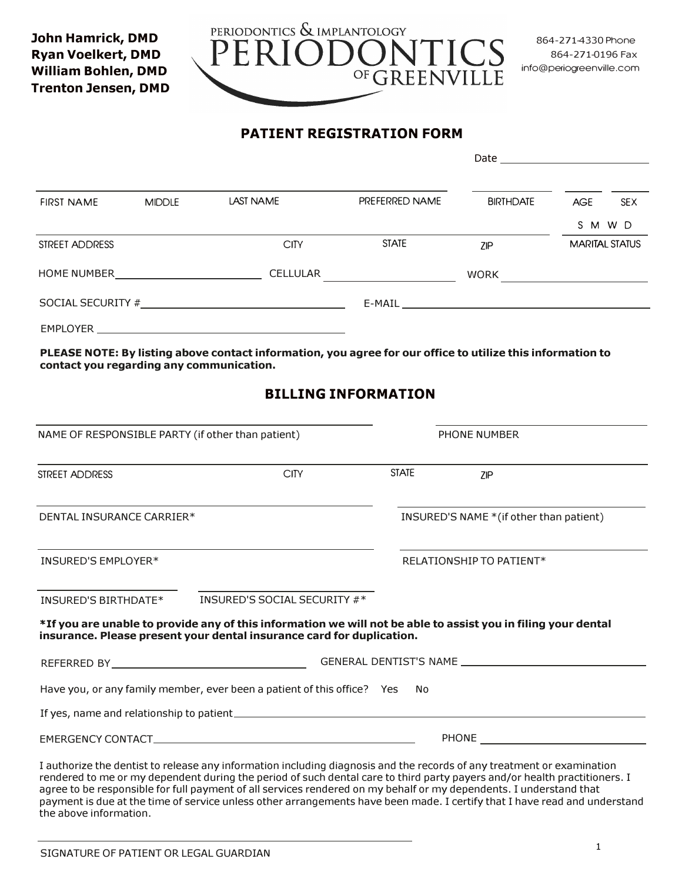

## **PATIENT REGISTRATION FORM**

|                    | <b>MIDDLE</b> | <b>LAST NAME</b>                                |                | Date and the contract of the contract of the contract of the contract of the contract of the contract of the contract of the contract of the contract of the contract of the contract of the contract of the contract of the c |                       |            |
|--------------------|---------------|-------------------------------------------------|----------------|--------------------------------------------------------------------------------------------------------------------------------------------------------------------------------------------------------------------------------|-----------------------|------------|
| <b>FIRST NAME</b>  |               |                                                 | PREFERRED NAME | <b>BIRTHDATE</b>                                                                                                                                                                                                               | <b>AGE</b>            | <b>SEX</b> |
|                    |               |                                                 |                |                                                                                                                                                                                                                                | S M W D               |            |
| STREET ADDRESS     |               | <b>CITY</b>                                     | <b>STATE</b>   | <b>ZIP</b>                                                                                                                                                                                                                     | <b>MARITAL STATUS</b> |            |
| <b>HOME NUMBER</b> |               | <b>CELLULAR</b>                                 |                | <b>WORK</b>                                                                                                                                                                                                                    |                       |            |
|                    |               | SOCIAL SECURITY # 2007 2007 2008 2009 2012 2013 |                | E-MAIL E-MAIL                                                                                                                                                                                                                  |                       |            |
| <b>EMPLOYER</b>    |               |                                                 |                |                                                                                                                                                                                                                                |                       |            |

**PLEASE NOTE: By listing above contact information, you agree for our office to utilize this information to contact you regarding any communication.**

# **BILLING INFORMATION**

| NAME OF RESPONSIBLE PARTY (if other than patient)                       | <b>PHONE NUMBER</b>                                                                                                                                                                                                                                                                                                                                                       |  |  |
|-------------------------------------------------------------------------|---------------------------------------------------------------------------------------------------------------------------------------------------------------------------------------------------------------------------------------------------------------------------------------------------------------------------------------------------------------------------|--|--|
| <b>CITY</b><br>STREET ADDRESS                                           | <b>STATE</b><br>7IP                                                                                                                                                                                                                                                                                                                                                       |  |  |
| DENTAL INSURANCE CARRIER*                                               | INSURED'S NAME * (if other than patient)                                                                                                                                                                                                                                                                                                                                  |  |  |
| INSURED'S EMPLOYER*                                                     | RELATIONSHIP TO PATIENT*                                                                                                                                                                                                                                                                                                                                                  |  |  |
| INSURED'S SOCIAL SECURITY #*<br>INSURED'S BIRTHDATE*                    |                                                                                                                                                                                                                                                                                                                                                                           |  |  |
| insurance. Please present your dental insurance card for duplication.   | *If you are unable to provide any of this information we will not be able to assist you in filing your dental                                                                                                                                                                                                                                                             |  |  |
|                                                                         |                                                                                                                                                                                                                                                                                                                                                                           |  |  |
| Have you, or any family member, ever been a patient of this office? Yes | No.                                                                                                                                                                                                                                                                                                                                                                       |  |  |
|                                                                         |                                                                                                                                                                                                                                                                                                                                                                           |  |  |
|                                                                         | PHONE <b>FRAME</b>                                                                                                                                                                                                                                                                                                                                                        |  |  |
|                                                                         | I authorize the dentist to release any information including diagnosis and the records of any treatment or examination<br>rendered to me or my dependent during the period of such dental care to third party payers and/or health practitioners. I<br>agree to be responsible for full payment of all services rendered on my behalf or my dependents. I understand that |  |  |

payment is due at the time of service unless other arrangements have been made. I certify that I have read and understand the above information.

**John Hamrick, DMD Ryan Voelkert, DMD William Bohlen, DMD Trenton Jensen, DMD**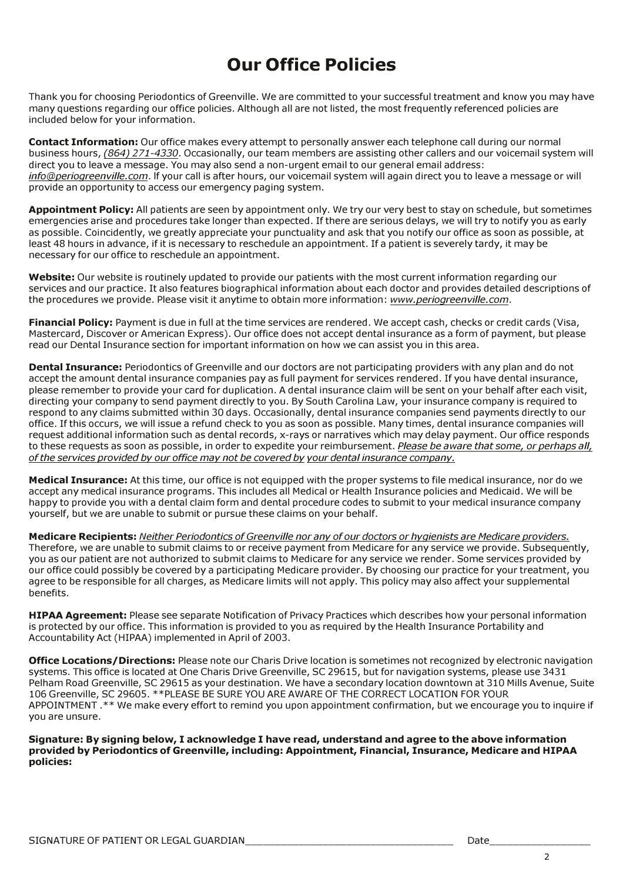# **Our Office Policies**

Thank you for choosing Periodontics of Greenville. We are committed to your successful treatment and know you may have many questions regarding our office policies. Although all are not listed, the most frequently referenced policies are included below for your information.

**Contact Information:** Our office makes every attempt to personally answer each telephone call during our normal business hours, *(864) 271-4330*. Occasionally, our team members are assisting other callers and our voicemail system will direct you to leave a message. You may also send a non-urgent email to our general email address: *info@periogreenville.com*. lf your call is after hours, our voicemail system will again direct you to leave a message or will provide an opportunity to access our emergency paging system.

**Appointment Policy:** All patients are seen by appointment only. We try our very best to stay on schedule, but sometimes emergencies arise and procedures take longer than expected. If there are serious delays, we will try to notify you as early as possible. Coincidently, we greatly appreciate your punctuality and ask that you notify our office as soon as possible, at least 48 hours in advance, if it is necessary to reschedule an appointment. If a patient is severely tardy, it may be necessary for our office to reschedule an appointment.

**Website:** Our website is routinely updated to provide our patients with the most current information regarding our services and our practice. It also features biographical information about each doctor and provides detailed descriptions of the procedures we provide. Please visit it anytime to obtain more information: *www.periogreenville.com*.

**Financial Policy:** Payment is due in full at the time services are rendered. We accept cash, checks or credit cards (Visa, Mastercard, Discover or American Express). Our office does not accept dental insurance as a form of payment, but please read our Dental Insurance section for important information on how we can assist you in this area.

**Dental Insurance:** Periodontics of Greenville and our doctors are not participating providers with any plan and do not accept the amount dental insurance companies pay as full payment for services rendered. If you have dental insurance, please remember to provide your card for duplication. A dental insurance claim will be sent on your behalf after each visit, directing your company to send payment directly to you. By South Carolina Law, your insurance company is required to respond to any claims submitted within 30 days. Occasionally, dental insurance companies send payments directly to our office. If this occurs, we will issue a refund check to you as soon as possible. Many times, dental insurance companies will request additional information such as dental records, x-rays or narratives which may delay payment. Our office responds to these requests as soon as possible, in order to expedite your reimbursement. *Please be aware that some, or perhaps all, of the services provided by our office may not be covered by your dental insurance company.* 

**Medical Insurance:** At this time, our office is not equipped with the proper systems to file medical insurance, nor do we accept any medical insurance programs. This includes all Medical or Health Insurance policies and Medicaid. We will be happy to provide you with a dental claim form and dental procedure codes to submit to your medical insurance company yourself, but we are unable to submit or pursue these claims on your behalf.

**Medicare Recipients:** *Neither Periodontics of Greenville nor any of our doctors or hygienists are Medicare providers.* Therefore, we are unable to submit claims to or receive payment from Medicare for any service we provide. Subsequently, you as our patient are not authorized to submit claims to Medicare for any service we render. Some services provided by our office could possibly be covered by a participating Medicare provider. By choosing our practice for your treatment, you agree to be responsible for all charges, as Medicare limits will not apply. This policy may also affect your supplemental benefits.

**HIPAA Agreement:** Please see separate Notification of Privacy Practices which describes how your personal information is protected by our office. This information is provided to you as required by the Health Insurance Portability and Accountability Act (HIPAA) implemented in April of 2003.

**Office Locations/Directions:** Please note our Charis Drive location is sometimes not recognized by electronic navigation systems. This office is located at One Charis Drive Greenville, SC 29615, but for navigation systems, please use 3431 Pelham Road Greenville, SC 29615 as your destination. We have a secondary location downtown at 310 Mills Avenue, Suite 106 Greenville, SC 29605. \*\*PLEASE BE SURE YOU ARE AWARE OF THE CORRECT LOCATION FOR YOUR APPOINTMENT .\*\* We make every effort to remind you upon appointment confirmation, but we encourage you to inquire if you are unsure.

**Signature: By signing below, I acknowledge I have read, understand and agree to the above information provided by Periodontics of Greenville, including: Appointment, Financial, Insurance, Medicare and HIPAA policies:**